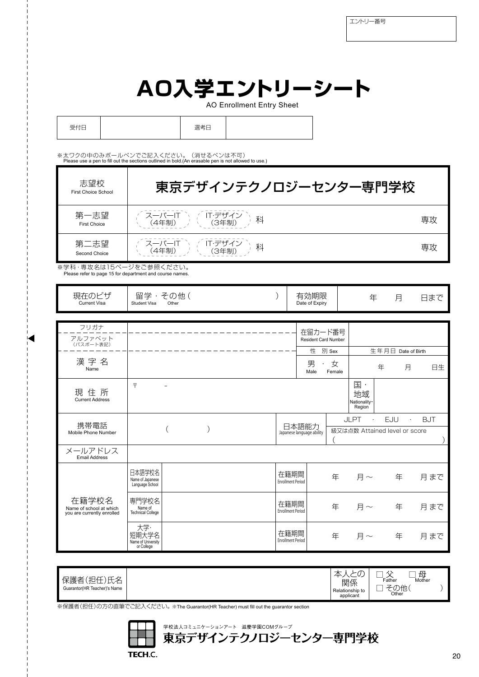## **AO入学エントリーシート**

AO Enrollment Entry Sheet

| 受付日 |  | 選考日 |  |  |
|-----|--|-----|--|--|
|-----|--|-----|--|--|

※太ワクの中のみボールペンでご記入ください。(消せるペンは不可)<br>- Please use a pen to fill out the sections outlined in bold.(An erasable pen is not allowed to use.)

| 志望校<br><b>First Choice School</b> | 東京デザインテクノロジーセンター専門学校                                |    |
|-----------------------------------|-----------------------------------------------------|----|
| 第一志望<br><b>First Choice</b>       | -<br>- スーパーIT 〜 ( IT·デザイン<br>- (4年制) ― ( (3年制)<br>科 | 専攻 |
| 第二志望<br>Second Choice             | スーパーIT<br>(4年制)<br>IT・デザイ<br>科                      | 専攻 |

※学科・専攻名は15ページをご参照ください。 Please refer to page 15 for department and course names.

| 現在のビザ<br><b>Current Visa</b>                                   | Student Visa                                     | 留学・その他(<br>Other |  |                                    | 有効期限<br>Date of Expiry      |                               | 年                                                           | 月                  |           | 日まで        |
|----------------------------------------------------------------|--------------------------------------------------|------------------|--|------------------------------------|-----------------------------|-------------------------------|-------------------------------------------------------------|--------------------|-----------|------------|
|                                                                |                                                  |                  |  |                                    |                             |                               |                                                             |                    |           |            |
| フリガナ<br>アルファベット                                                |                                                  |                  |  |                                    | 在留カード番号                     |                               |                                                             |                    |           |            |
| (パスポート表記)                                                      |                                                  |                  |  |                                    | <b>Resident Card Number</b> |                               |                                                             |                    |           |            |
|                                                                |                                                  |                  |  |                                    | 性                           | 別 Sex                         |                                                             | 生年月日 Date of Birth |           |            |
| 漢字名<br>Name                                                    |                                                  |                  |  |                                    | 男<br>Male                   | 女<br>Female                   |                                                             | 年                  | 月         | 日生         |
| 現住所<br><b>Current Address</b>                                  | $\overline{\tau}$                                |                  |  |                                    |                             |                               | $\mathbb{E}$ .<br>地域<br>Nationality·<br>Region <sup>®</sup> |                    |           |            |
| 携帯電話                                                           |                                                  |                  |  |                                    |                             |                               | <b>JLPT</b><br>$\cdot$                                      | EJU                | $\bullet$ | <b>BJT</b> |
| Mobile Phone Number                                            |                                                  |                  |  | 日本語能力<br>Japanese language ability |                             | 級又は点数 Attained level or score |                                                             |                    |           |            |
| メールアドレス<br><b>Email Address</b>                                |                                                  |                  |  |                                    |                             |                               |                                                             |                    |           |            |
|                                                                | 日本語学校名<br>Name of Japanese<br>Language School    |                  |  | 在籍期間<br><b>Enrollment Period</b>   |                             | 年                             |                                                             | 月~ 年               |           | 月まで        |
| 在籍学校名<br>Name of school at which<br>you are currently enrolled | 専門学校名<br>Name of<br><b>Technical College</b>     |                  |  | 在籍期間<br><b>Enrollment Period</b>   |                             | 年                             | 月 $\sim$                                                    | 年                  |           | 月まで        |
|                                                                | 大学·<br>短期大学名<br>Name of University<br>or College |                  |  | 在籍期間<br><b>Enrollment Period</b>   |                             | 年                             | 月 $\sim$                                                    | 年                  |           | 月まで        |

| ※保護者(担任)の方の直筆でご記入ください。※The Guarantor(HR Teacher) must fill out the guarantor section<br>学校法人コミュニケーションアート 滋慶学園COMグループ<br>東京デザインテクノロジーセンター専門学校<br><b>TECH.C.</b> |  |
|----------------------------------------------------------------------------------------------------------------------------------------------------------------|--|